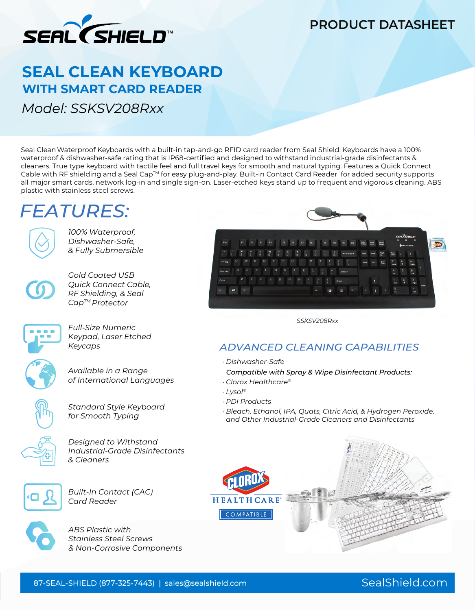

### **PRODUCT DATASHEET**

## **SEAL CLEAN KEYBOARD WITH SMART CARD READER**

*Model: SSKSV208Rxx*

Seal CleanWaterproof Keyboards with a built-in tap-and-go RFID card reader from Seal Shield. Keyboards have a 100% waterproof & dishwasher-safe rating that is IP68-certified and designed to withstand industrial-grade disinfectants & cleaners. True type keyboard with tactile feel and full travel keys for smooth and natural typing. Features a Quick Connect Cable with RF shielding and a Seal Cap™ for easy plug-and-play. Built-in Contact Card Reader for added security supports all major smart cards, network log-in and single sign-on. Laser-etched keys stand up to frequent and vigorous cleaning. ABS plastic with stainless steel screws.

# **FEATURES:**



*100% Waterproof, Dishwasher-Safe, & Fully Submersible*



*Gold Coated USB Quick Connect Cable, RF Shielding, & Seal CapTM Protector*



*Full-Size Numeric Keypad, Laser Etched Keycaps*



*Available in a Range of International Languages*



*Standard Style Keyboard for Smooth Typing*



*Designed to Withstand Industrial-Grade Disinfectants & Cleaners*



*Built-In Contact (CAC) Card Reader*



*ABS Plastic with Stainless Steel Screws & Non-Corrosive Components* 



*SSKSV208Rxx*

### ® ® *ADVANCED CLEANING CAPABILITIES*

*· Dishwasher-Safe* 

 *Compatible with Spray & Wipe Disinfectant Products:*

- *· Clorox Healthcare®*
- *· Lysol®*
- *· PDI Products*
- *· Bleach, Ethanol, IPA, Quats, Citric Acid, & Hydrogen Peroxide, and Other Industrial-Grade Cleaners and Disinfectants*